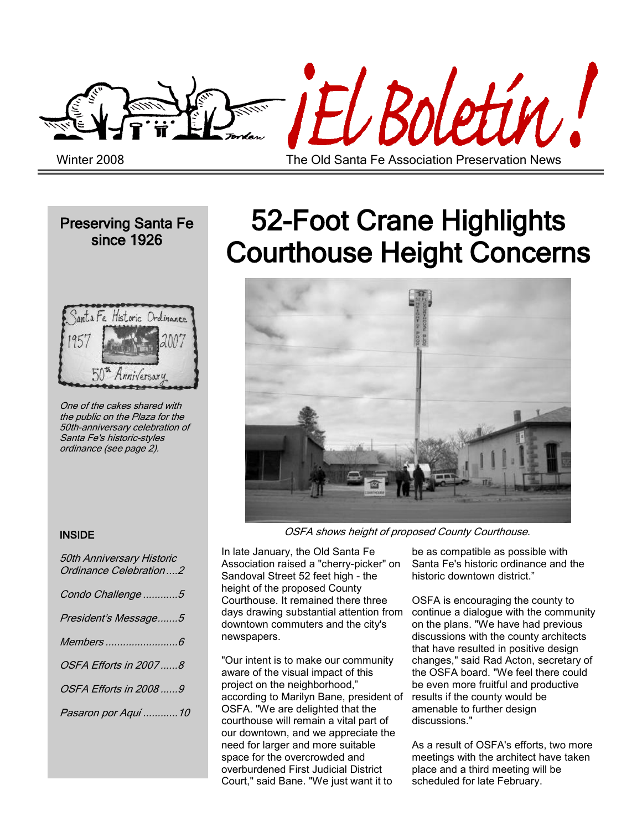

Preserving Santa Fe since 1926



One of the cakes shared with the public on the Plaza for the 50th-anniversary celebration of Santa Fe's historic-styles ordinance (see page 2).

## 52-Foot Crane Highlights Courthouse Height Concerns



#### OSFA shows height of proposed County Courthouse.

In late January, the Old Santa Fe Association raised a "cherry-picker" on Sandoval Street 52 feet high - the height of the proposed County Courthouse. It remained there three days drawing substantial attention from downtown commuters and the city's newspapers.

"Our intent is to make our community aware of the visual impact of this project on the neighborhood," according to Marilyn Bane, president of OSFA. "We are delighted that the courthouse will remain a vital part of our downtown, and we appreciate the need for larger and more suitable space for the overcrowded and overburdened First Judicial District Court," said Bane. "We just want it to

be as compatible as possible with Santa Fe's historic ordinance and the historic downtown district."

OSFA is encouraging the county to continue a dialogue with the community on the plans. "We have had previous discussions with the county architects that have resulted in positive design changes," said Rad Acton, secretary of the OSFA board. "We feel there could be even more fruitful and productive results if the county would be amenable to further design discussions."

As a result of OSFA's efforts, two more meetings with the architect have taken place and a third meeting will be scheduled for late February.

#### **INSIDE**

| 50th Anniversary Historic<br>Ordinance Celebration2 |
|-----------------------------------------------------|
| Condo Challenge 5                                   |
| President's Message5                                |
|                                                     |
| OSFA Efforts in 20078                               |
| OSFA Efforts in 2008 9                              |
| Pasaron por Aquí 10                                 |
|                                                     |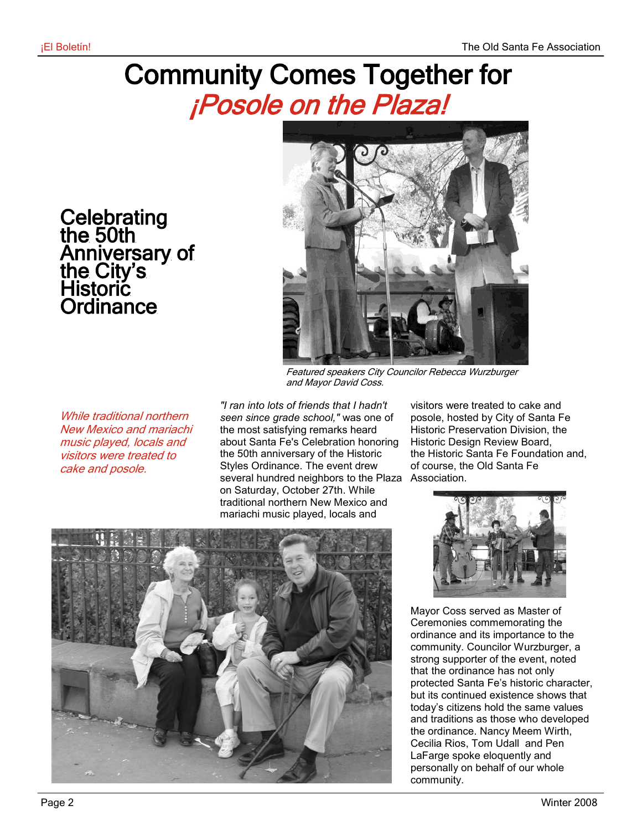### Community Comes Together for ¡Posole on the Plaza!

**Celebrating** the 50th Anniversary of the City's Historic **Ordinance** 



Featured speakers City Councilor Rebecca Wurzburger and Mayor David Coss.

While traditional northern New Mexico and mariachi music played, locals and visitors were treated to cake and posole.

*"I ran into lots of friends that I hadn't seen since grade school,"* was one of the most satisfying remarks heard about Santa Fe's Celebration honoring the 50th anniversary of the Historic Styles Ordinance. The event drew several hundred neighbors to the Plaza Association. on Saturday, October 27th. While traditional northern New Mexico and mariachi music played, locals and

visitors were treated to cake and posole, hosted by City of Santa Fe Historic Preservation Division, the Historic Design Review Board, the Historic Santa Fe Foundation and, of course, the Old Santa Fe





Mayor Coss served as Master of Ceremonies commemorating the ordinance and its importance to the community. Councilor Wurzburger, a strong supporter of the event, noted that the ordinance has not only protected Santa Fe's historic character, but its continued existence shows that today's citizens hold the same values and traditions as those who developed the ordinance. Nancy Meem Wirth, Cecilia Rios, Tom Udall and Pen LaFarge spoke eloquently and personally on behalf of our whole community.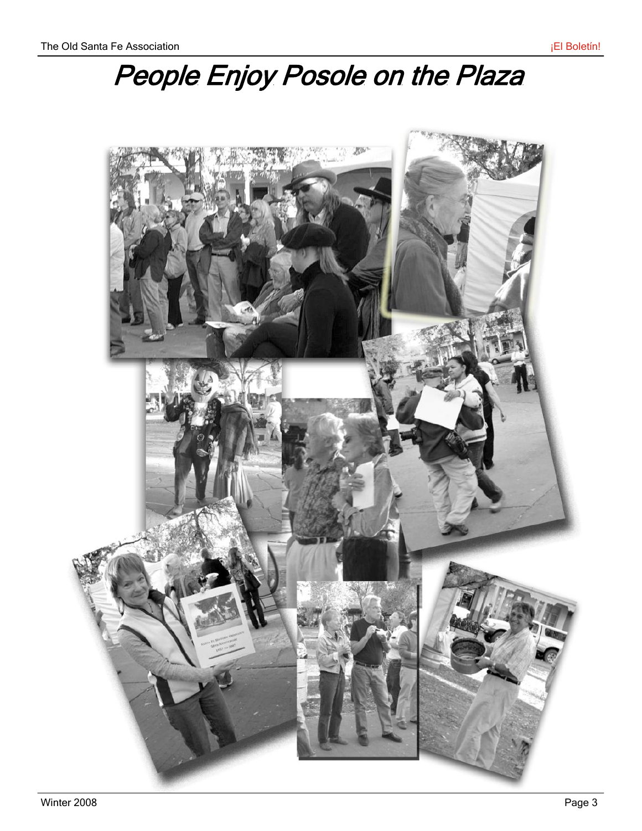# People Enjoy Posole on the Plaza

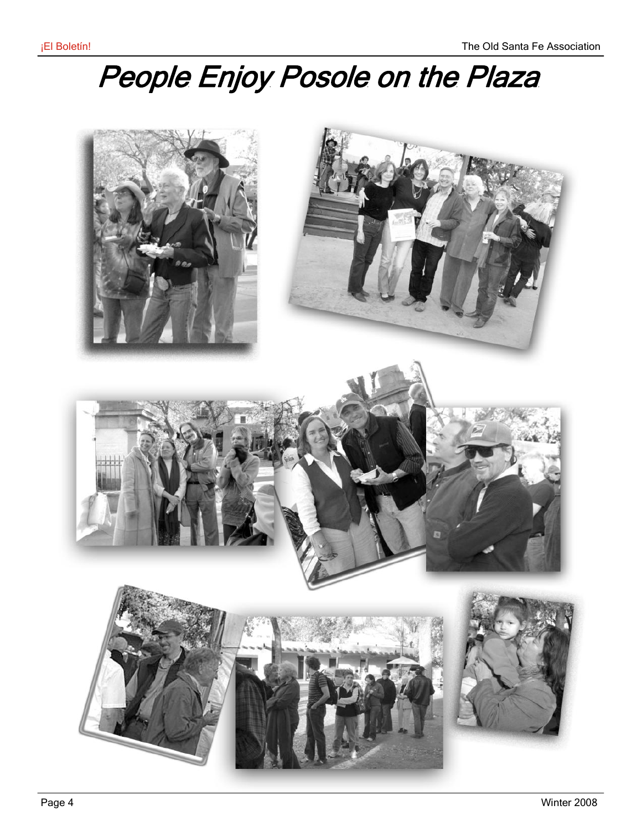# People Enjoy Posole on the Plaza

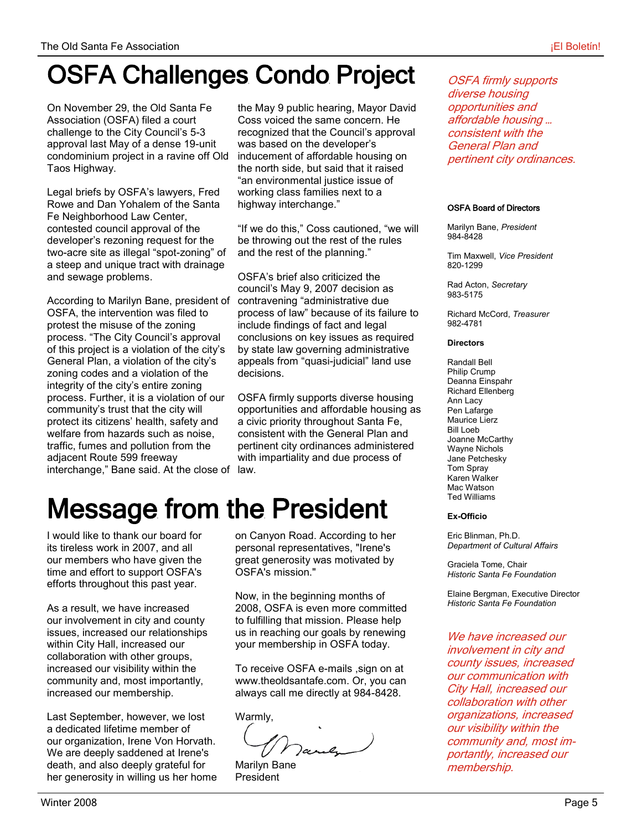### OSFA Challenges Condo Project

On November 29, the Old Santa Fe Association (OSFA) filed a court challenge to the City Council's 5-3 approval last May of a dense 19-unit condominium project in a ravine off Old Taos Highway.

Legal briefs by OSFA's lawyers, Fred Rowe and Dan Yohalem of the Santa Fe Neighborhood Law Center, contested council approval of the developer's rezoning request for the two-acre site as illegal "spot-zoning" of a steep and unique tract with drainage and sewage problems.

According to Marilyn Bane, president of OSFA, the intervention was filed to protest the misuse of the zoning process. "The City Council's approval of this project is a violation of the city's General Plan, a violation of the city's zoning codes and a violation of the integrity of the city's entire zoning process. Further, it is a violation of our community's trust that the city will protect its citizens' health, safety and welfare from hazards such as noise, traffic, fumes and pollution from the adjacent Route 599 freeway interchange," Bane said. At the close of law.

the May 9 public hearing, Mayor David Coss voiced the same concern. He recognized that the Council's approval was based on the developer's inducement of affordable housing on the north side, but said that it raised "an environmental justice issue of working class families next to a highway interchange."

"If we do this," Coss cautioned, "we will be throwing out the rest of the rules and the rest of the planning."

OSFA's brief also criticized the council's May 9, 2007 decision as contravening "administrative due process of law" because of its failure to include findings of fact and legal conclusions on key issues as required by state law governing administrative appeals from "quasi-judicial" land use decisions.

OSFA firmly supports diverse housing opportunities and affordable housing as a civic priority throughout Santa Fe, consistent with the General Plan and pertinent city ordinances administered with impartiality and due process of

## Message from the President

I would like to thank our board for its tireless work in 2007, and all our members who have given the time and effort to support OSFA's efforts throughout this past year.

As a result, we have increased our involvement in city and county issues, increased our relationships within City Hall, increased our collaboration with other groups, increased our visibility within the community and, most importantly, increased our membership.

Last September, however, we lost a dedicated lifetime member of our organization, Irene Von Horvath. We are deeply saddened at Irene's death, and also deeply grateful for her generosity in willing us her home on Canyon Road. According to her personal representatives, "Irene's great generosity was motivated by OSFA's mission."

Now, in the beginning months of 2008, OSFA is even more committed to fulfilling that mission. Please help us in reaching our goals by renewing your membership in OSFA today.

To receive OSFA e-mails ,sign on at www.theoldsantafe.com. Or, you can always call me directly at 984-8428.

Warmly,

Marilyn Bane President

OSFA firmly supports diverse housing opportunities and affordable housing … consistent with the General Plan and pertinent city ordinances.

#### OSFA Board of Directors

Marilyn Bane, *President* 984-8428

Tim Maxwell, *Vice President* 820-1299

Rad Acton, *Secretary* 983-5175

Richard McCord, *Treasurer* 982-4781

#### **Directors**

Randall Bell Philip Crump Deanna Einspahr Richard Ellenberg Ann Lacy Pen Lafarge Maurice Lierz Bill Loeb Joanne McCarthy Wayne Nichols Jane Petchesky Tom Spray Karen Walker Mac Watson Ted Williams

#### **Ex-Officio**

Eric Blinman, Ph.D. *Department of Cultural Affairs*

Graciela Tome, Chair *Historic Santa Fe Foundation*

Elaine Bergman, Executive Director *Historic Santa Fe Foundation*

We have increased our involvement in city and county issues, increased our communication with City Hall, increased our collaboration with other organizations, increased our visibility within the community and, most importantly, increased our membership.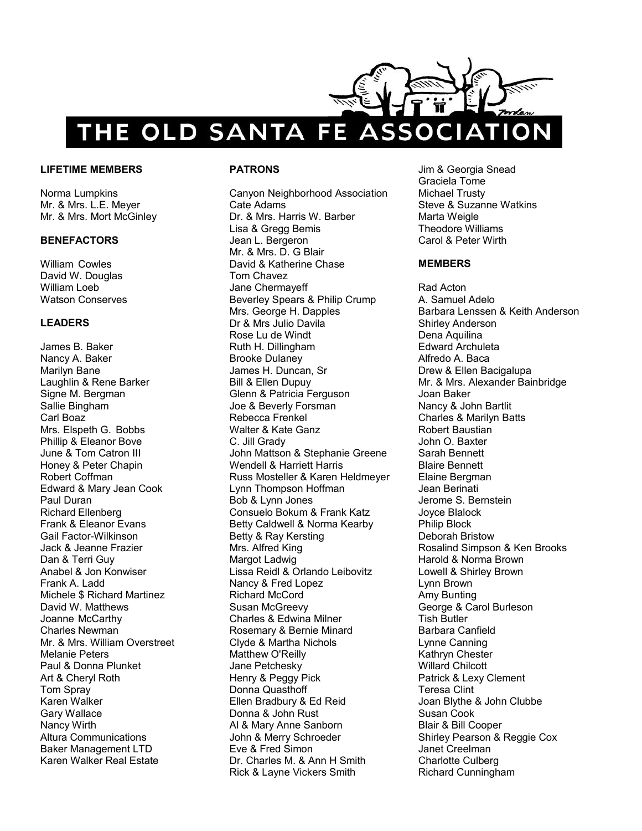

#### **LIFETIME MEMBERS**

Norma Lumpkins Mr. & Mrs. L.E. Meyer Mr. & Mrs. Mort McGinley

#### **BENEFACTORS**

William Cowles David W. Douglas William Loeb Watson Conserves

#### **LEADERS**

James B. Baker Nancy A. Baker Marilyn Bane Laughlin & Rene Barker Signe M. Bergman Sallie Bingham Carl Boaz Mrs. Elspeth G. Bobbs Phillip & Eleanor Bove June & Tom Catron III Honey & Peter Chapin Robert Coffman Edward & Mary Jean Cook Paul Duran Richard Ellenberg Frank & Eleanor Evans Gail Factor-Wilkinson Jack & Jeanne Frazier Dan & Terri Guy Anabel & Jon Konwiser Frank A. Ladd Michele \$ Richard Martinez David W. Matthews Joanne McCarthy Charles Newman Mr. & Mrs. William Overstreet Melanie Peters Paul & Donna Plunket Art & Cheryl Roth Tom Spray Karen Walker Gary Wallace Nancy Wirth Altura Communications Baker Management LTD Karen Walker Real Estate

#### **PATRONS**

Canyon Neighborhood Association Cate Adams Dr. & Mrs. Harris W. Barber Lisa & Gregg Bemis Jean L. Bergeron Mr. & Mrs. D. G Blair David & Katherine Chase Tom Chavez Jane Chermayeff Beverley Spears & Philip Crump Mrs. George H. Dapples Dr & Mrs Julio Davila Rose Lu de Windt Ruth H. Dillingham Brooke Dulaney James H. Duncan, Sr Bill & Ellen Dupuy Glenn & Patricia Ferguson Joe & Beverly Forsman Rebecca Frenkel Walter & Kate Ganz C. Jill Grady John Mattson & Stephanie Greene Wendell & Harriett Harris Russ Mosteller & Karen Heldmeyer Lynn Thompson Hoffman Bob & Lynn Jones Consuelo Bokum & Frank Katz Betty Caldwell & Norma Kearby Betty & Ray Kersting Mrs. Alfred King Margot Ladwig Lissa Reidl & Orlando Leibovitz Nancy & Fred Lopez Richard McCord Susan McGreevy Charles & Edwina Milner Rosemary & Bernie Minard Clyde & Martha Nichols Matthew O'Reilly Jane Petchesky Henry & Peggy Pick Donna Quasthoff Ellen Bradbury & Ed Reid Donna & John Rust Al & Mary Anne Sanborn John & Merry Schroeder Eve & Fred Simon Dr. Charles M. & Ann H Smith Rick & Layne Vickers Smith

Jim & Georgia Snead Graciela Tome Michael Trusty Steve & Suzanne Watkins Marta Weigle Theodore Williams Carol & Peter Wirth

#### **MEMBERS**

Rad Acton A. Samuel Adelo Barbara Lenssen & Keith Anderson Shirley Anderson Dena Aquilina Edward Archuleta Alfredo A. Baca Drew & Ellen Bacigalupa Mr. & Mrs. Alexander Bainbridge Joan Baker Nancy & John Bartlit Charles & Marilyn Batts Robert Baustian John O. Baxter Sarah Bennett Blaire Bennett Elaine Bergman Jean Berinati Jerome S. Bernstein Joyce Blalock Philip Block Deborah Bristow Rosalind Simpson & Ken Brooks Harold & Norma Brown Lowell & Shirley Brown Lynn Brown Amy Bunting George & Carol Burleson Tish Butler Barbara Canfield Lynne Canning Kathryn Chester Willard Chilcott Patrick & Lexy Clement Teresa Clint Joan Blythe & John Clubbe Susan Cook Blair & Bill Cooper Shirley Pearson & Reggie Cox Janet Creelman Charlotte Culberg Richard Cunningham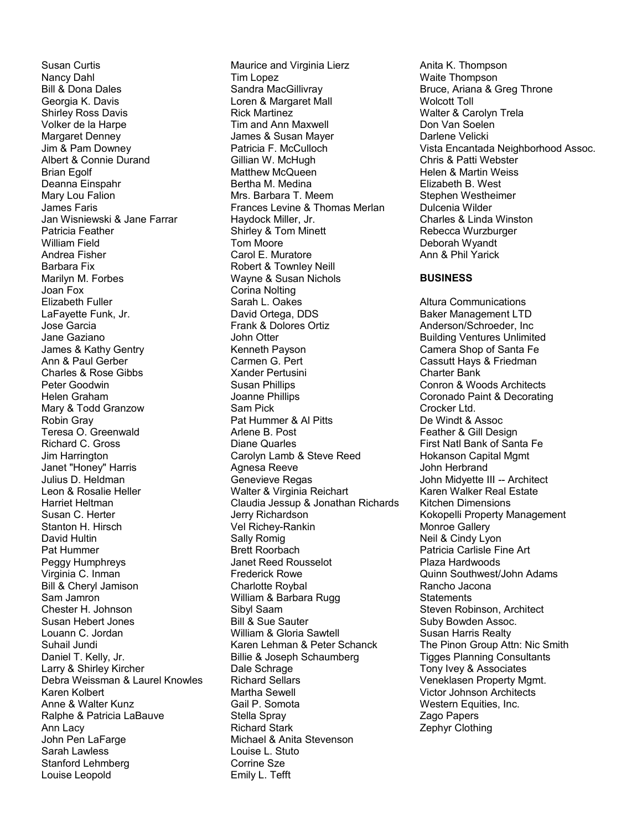Susan Curtis Nancy Dahl Bill & Dona Dales Georgia K. Davis Shirley Ross Davis Volker de la Harpe Margaret Denney Jim & Pam Downey Albert & Connie Durand Brian Egolf Deanna Einspahr Mary Lou Falion James Faris Jan Wisniewski & Jane Farrar Patricia Feather William Field Andrea Fisher Barbara Fix Marilyn M. Forbes Joan Fox Elizabeth Fuller LaFayette Funk, Jr. Jose Garcia Jane Gaziano James & Kathy Gentry Ann & Paul Gerber Charles & Rose Gibbs Peter Goodwin Helen Graham Mary & Todd Granzow Robin Gray Teresa O. Greenwald Richard C. Gross Jim Harrington Janet "Honey" Harris Julius D. Heldman Leon & Rosalie Heller Harriet Heltman Susan C. Herter Stanton H. Hirsch David Hultin Pat Hummer Peggy Humphreys Virginia C. Inman Bill & Cheryl Jamison Sam Jamron Chester H. Johnson Susan Hebert Jones Louann C. Jordan Suhail Jundi Daniel T. Kelly, Jr. Larry & Shirley Kircher Debra Weissman & Laurel Knowles Karen Kolbert Anne & Walter Kunz Ralphe & Patricia LaBauve Ann Lacy John Pen LaFarge Sarah Lawless Stanford Lehmberg Louise Leopold

Maurice and Virginia Lierz Tim Lopez Sandra MacGillivray Loren & Margaret Mall Rick Martinez Tim and Ann Maxwell James & Susan Mayer Patricia F. McCulloch Gillian W. McHugh Matthew McQueen Bertha M. Medina Mrs. Barbara T. Meem Frances Levine & Thomas Merlan Haydock Miller, Jr. Shirley & Tom Minett Tom Moore Carol E. Muratore Robert & Townley Neill Wayne & Susan Nichols Corina Nolting Sarah L. Oakes David Ortega, DDS Frank & Dolores Ortiz John Otter Kenneth Payson Carmen G. Pert Xander Pertusini Susan Phillips Joanne Phillips Sam Pick Pat Hummer & Al Pitts Arlene B. Post Diane Quarles Carolyn Lamb & Steve Reed Agnesa Reeve Genevieve Regas Walter & Virginia Reichart Claudia Jessup & Jonathan Richards Jerry Richardson Vel Richey-Rankin Sally Romig Brett Roorbach Janet Reed Rousselot Frederick Rowe Charlotte Roybal William & Barbara Rugg Sibyl Saam Bill & Sue Sauter William & Gloria Sawtell Karen Lehman & Peter Schanck Billie & Joseph Schaumberg Dale Schrage Richard Sellars Martha Sewell Gail P. Somota Stella Spray Richard Stark Michael & Anita Stevenson Louise L. Stuto Corrine Sze Emily L. Tefft

Anita K. Thompson Waite Thompson Bruce, Ariana & Greg Throne Wolcott Toll Walter & Carolyn Trela Don Van Soelen Darlene Velicki Vista Encantada Neighborhood Assoc. Chris & Patti Webster Helen & Martin Weiss Elizabeth B. West Stephen Westheimer Dulcenia Wilder Charles & Linda Winston Rebecca Wurzburger Deborah Wyandt Ann & Phil Yarick **BUSINESS** Altura Communications Baker Management LTD Anderson/Schroeder, Inc

Building Ventures Unlimited Camera Shop of Santa Fe Cassutt Hays & Friedman Charter Bank Conron & Woods Architects Coronado Paint & Decorating Crocker Ltd. De Windt & Assoc Feather & Gill Design First Natl Bank of Santa Fe Hokanson Capital Mgmt John Herbrand John Midyette III -- Architect Karen Walker Real Estate Kitchen Dimensions Kokopelli Property Management Monroe Gallery Neil & Cindy Lyon Patricia Carlisle Fine Art Plaza Hardwoods Quinn Southwest/John Adams Rancho Jacona **Statements** Steven Robinson, Architect Suby Bowden Assoc. Susan Harris Realty The Pinon Group Attn: Nic Smith Tigges Planning Consultants Tony Ivey & Associates Veneklasen Property Mgmt.

Victor Johnson Architects Western Equities, Inc.

Zago Papers Zephyr Clothing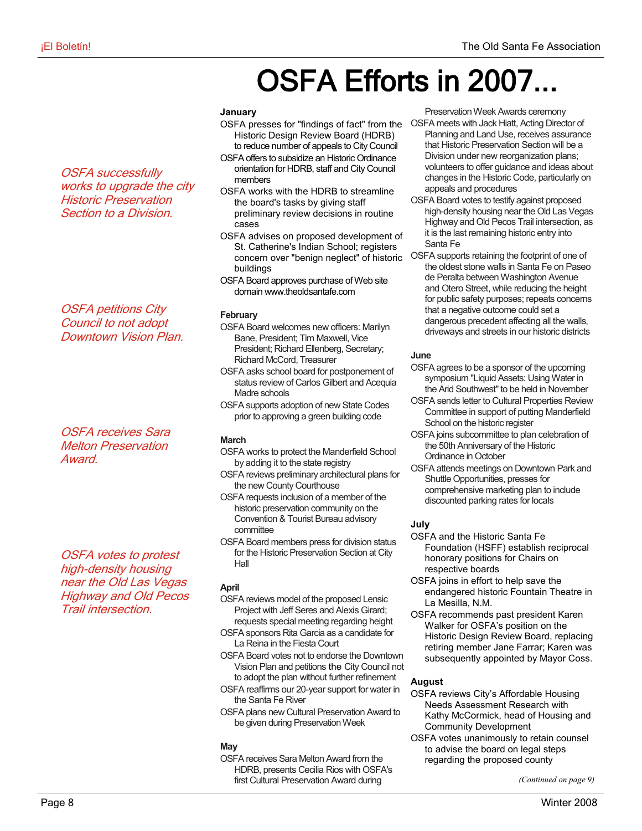## OSFA Efforts in 2007.

#### **January**

- OSFA presses for "findings of fact" from the OSFA meets with Jack Hiatt, Acting Director of Historic Design Review Board (HDRB) to reduce number of appeals to City Council
- OSFA offers to subsidize an Historic Ordinance orientation for HDRB, staff and City Council members
- OSFA works with the HDRB to streamline the board's tasks by giving staff preliminary review decisions in routine cases
- OSFA advises on proposed development of St. Catherine's Indian School; registers concern over "benign neglect" of historic buildings
- OSFA Board approves purchase of Web site domain www.theoldsantafe.com

#### **February**

- OSFA Board welcomes new officers: Marilyn Bane, President; Tim Maxwell, Vice President; Richard Ellenberg, Secretary; Richard McCord, Treasurer
- OSFA asks school board for postponement of status review of Carlos Gilbert and Acequia Madre schools
- OSFA supports adoption of new State Codes prior to approving a green building code

#### **March**

- OSFA works to protect the Manderfield School by adding it to the state registry
- OSFA reviews preliminary architectural plans for the new County Courthouse
- OSFA requests inclusion of a member of the historic preservation community on the Convention & Tourist Bureau advisory committee
- OSFA Board members press for division status for the Historic Preservation Section at City Hall

#### **April**

- OSFA reviews model of the proposed Lensic Project with Jeff Seres and Alexis Girard; requests special meeting regarding height
- OSFA sponsors Rita Garcia as a candidate for La Reina in the Fiesta Court
- OSFA Board votes not to endorse the Downtown Vision Plan and petitions the City Council not to adopt the plan without further refinement
- OSFA reaffirms our 20-year support for water in the Santa Fe River
- OSFA plans new Cultural Preservation Award to be given during Preservation Week

#### **May**

OSFA receives Sara Melton Award from the HDRB, presents Cecilia Rios with OSFA's first Cultural Preservation Award during

Preservation Week Awards ceremony

- Planning and Land Use, receives assurance that Historic Preservation Section will be a Division under new reorganization plans; volunteers to offer guidance and ideas about changes in the Historic Code, particularly on appeals and procedures
- OSFA Board votes to testify against proposed high-density housing near the Old Las Vegas Highway and Old Pecos Trail intersection, as it is the last remaining historic entry into Santa Fe
- OSFA supports retaining the footprint of one of the oldest stone walls in Santa Fe on Paseo de Peralta between Washington Avenue and Otero Street, while reducing the height for public safety purposes; repeats concerns that a negative outcome could set a dangerous precedent affecting all the walls, driveways and streets in our historic districts

#### **June**

- OSFA agrees to be a sponsor of the upcoming symposium "Liquid Assets: Using Water in the Arid Southwest" to be held in November
- OSFA sends letter to Cultural Properties Review Committee in support of putting Manderfield School on the historic register
- OSFA joins subcommittee to plan celebration of the 50th Anniversary of the Historic Ordinance in October
- OSFA attends meetings on Downtown Park and Shuttle Opportunities, presses for comprehensive marketing plan to include discounted parking rates for locals

#### **July**

- OSFA and the Historic Santa Fe Foundation (HSFF) establish reciprocal honorary positions for Chairs on respective boards
- OSFA joins in effort to help save the endangered historic Fountain Theatre in La Mesilla, N.M.
- OSFA recommends past president Karen Walker for OSFA's position on the Historic Design Review Board, replacing retiring member Jane Farrar; Karen was subsequently appointed by Mayor Coss.

#### **August**

- OSFA reviews City's Affordable Housing Needs Assessment Research with Kathy McCormick, head of Housing and Community Development
- OSFA votes unanimously to retain counsel to advise the board on legal steps regarding the proposed county

*(Continued on page 9)*

OSFA successfully works to upgrade the city Historic Preservation Section to a Division.

OSFA petitions City Council to not adopt Downtown Vision Plan.

OSFA receives Sara Melton Preservation Award.

OSFA votes to protest high-density housing near the Old Las Vegas Highway and Old Pecos Trail intersection.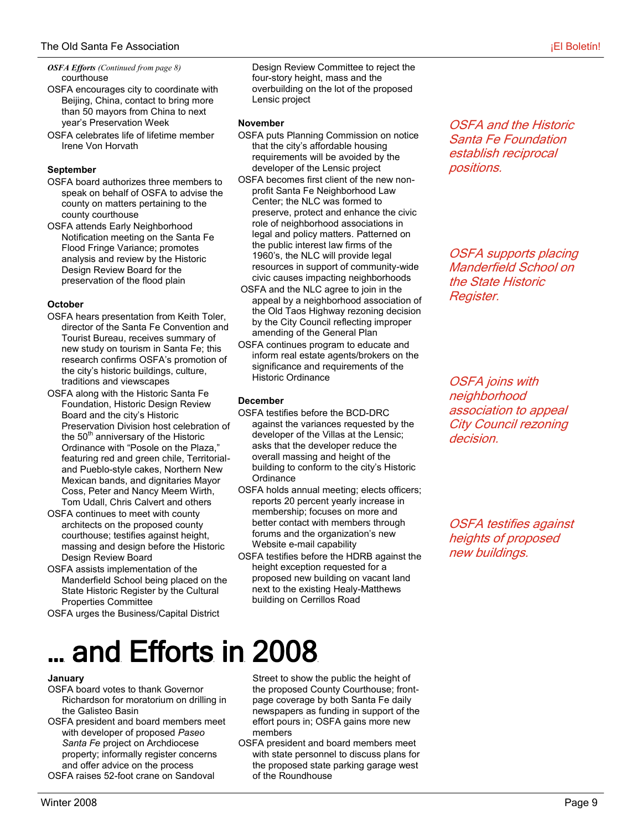#### courthouse *OSFA Efforts (Continued from page 8)*

- OSFA encourages city to coordinate with Beijing, China, contact to bring more than 50 mayors from China to next year's Preservation Week
- OSFA celebrates life of lifetime member Irene Von Horvath

#### **September**

- OSFA board authorizes three members to speak on behalf of OSFA to advise the county on matters pertaining to the county courthouse
- OSFA attends Early Neighborhood Notification meeting on the Santa Fe Flood Fringe Variance; promotes analysis and review by the Historic Design Review Board for the preservation of the flood plain

#### **October**

- OSFA hears presentation from Keith Toler, director of the Santa Fe Convention and Tourist Bureau, receives summary of new study on tourism in Santa Fe; this research confirms OSFA's promotion of the city's historic buildings, culture, traditions and viewscapes
- OSFA along with the Historic Santa Fe Foundation, Historic Design Review Board and the city's Historic Preservation Division host celebration of the  $50<sup>th</sup>$  anniversary of the Historic Ordinance with "Posole on the Plaza," featuring red and green chile, Territorialand Pueblo-style cakes, Northern New Mexican bands, and dignitaries Mayor Coss, Peter and Nancy Meem Wirth, Tom Udall, Chris Calvert and others
- OSFA continues to meet with county architects on the proposed county courthouse; testifies against height, massing and design before the Historic Design Review Board
- OSFA assists implementation of the Manderfield School being placed on the State Historic Register by the Cultural Properties Committee
- OSFA urges the Business/Capital District

Design Review Committee to reject the four-story height, mass and the overbuilding on the lot of the proposed Lensic project

#### **November**

- OSFA puts Planning Commission on notice that the city's affordable housing requirements will be avoided by the developer of the Lensic project
- OSFA becomes first client of the new nonprofit Santa Fe Neighborhood Law Center; the NLC was formed to preserve, protect and enhance the civic role of neighborhood associations in legal and policy matters. Patterned on the public interest law firms of the 1960's, the NLC will provide legal resources in support of community-wide civic causes impacting neighborhoods
- OSFA and the NLC agree to join in the appeal by a neighborhood association of the Old Taos Highway rezoning decision by the City Council reflecting improper amending of the General Plan
- OSFA continues program to educate and inform real estate agents/brokers on the significance and requirements of the Historic Ordinance

#### **December**

- OSFA testifies before the BCD-DRC against the variances requested by the developer of the Villas at the Lensic; asks that the developer reduce the overall massing and height of the building to conform to the city's Historic **Ordinance**
- OSFA holds annual meeting; elects officers; reports 20 percent yearly increase in membership; focuses on more and better contact with members through forums and the organization's new Website e-mail capability
- OSFA testifies before the HDRB against the height exception requested for a proposed new building on vacant land next to the existing Healy-Matthews building on Cerrillos Road

OSFA and the Historic Santa Fe Foundation establish reciprocal positions.

OSFA supports placing Manderfield School on the State Historic Register.

OSFA joins with neighborhood association to appeal City Council rezoning decision.

OSFA testifies against heights of proposed new buildings.

# … and Efforts in 2008

#### **January**

- OSFA board votes to thank Governor Richardson for moratorium on drilling in the Galisteo Basin
- OSFA president and board members meet with developer of proposed *Paseo Santa Fe* project on Archdiocese property; informally register concerns and offer advice on the process OSFA raises 52-foot crane on Sandoval

Street to show the public the height of the proposed County Courthouse; frontpage coverage by both Santa Fe daily newspapers as funding in support of the effort pours in; OSFA gains more new members

OSFA president and board members meet with state personnel to discuss plans for the proposed state parking garage west of the Roundhouse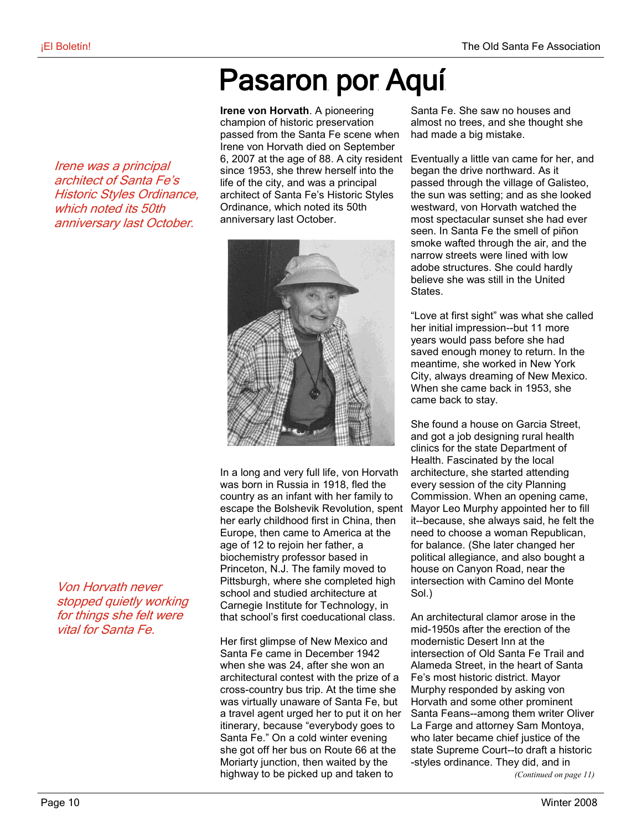### Pasaron por Aquí

**Irene von Horvath**. A pioneering champion of historic preservation passed from the Santa Fe scene when Irene von Horvath died on September 6, 2007 at the age of 88. A city resident since 1953, she threw herself into the life of the city, and was a principal architect of Santa Fe's Historic Styles Ordinance, which noted its 50th anniversary last October.



In a long and very full life, von Horvath was born in Russia in 1918, fled the country as an infant with her family to escape the Bolshevik Revolution, spent her early childhood first in China, then Europe, then came to America at the age of 12 to rejoin her father, a biochemistry professor based in Princeton, N.J. The family moved to Pittsburgh, where she completed high school and studied architecture at Carnegie Institute for Technology, in that school's first coeducational class.

Her first glimpse of New Mexico and Santa Fe came in December 1942 when she was 24, after she won an architectural contest with the prize of a cross-country bus trip. At the time she was virtually unaware of Santa Fe, but a travel agent urged her to put it on her itinerary, because "everybody goes to Santa Fe." On a cold winter evening she got off her bus on Route 66 at the Moriarty junction, then waited by the highway to be picked up and taken to

Santa Fe. She saw no houses and almost no trees, and she thought she had made a big mistake.

Eventually a little van came for her, and began the drive northward. As it passed through the village of Galisteo, the sun was setting; and as she looked westward, von Horvath watched the most spectacular sunset she had ever seen. In Santa Fe the smell of piñon smoke wafted through the air, and the narrow streets were lined with low adobe structures. She could hardly believe she was still in the United **States** 

"Love at first sight" was what she called her initial impression--but 11 more years would pass before she had saved enough money to return. In the meantime, she worked in New York City, always dreaming of New Mexico. When she came back in 1953, she came back to stay.

She found a house on Garcia Street, and got a job designing rural health clinics for the state Department of Health. Fascinated by the local architecture, she started attending every session of the city Planning Commission. When an opening came, Mayor Leo Murphy appointed her to fill it--because, she always said, he felt the need to choose a woman Republican, for balance. (She later changed her political allegiance, and also bought a house on Canyon Road, near the intersection with Camino del Monte Sol.)

An architectural clamor arose in the mid-1950s after the erection of the modernistic Desert Inn at the intersection of Old Santa Fe Trail and Alameda Street, in the heart of Santa Fe's most historic district. Mayor Murphy responded by asking von Horvath and some other prominent Santa Feans--among them writer Oliver La Farge and attorney Sam Montoya, who later became chief justice of the state Supreme Court--to draft a historic -styles ordinance. They did, and in

*(Continued on page 11)*

Irene was a principal architect of Santa Fe's Historic Styles Ordinance, which noted its 50th anniversary last October.

Von Horvath never stopped quietly working for things she felt were vital for Santa Fe.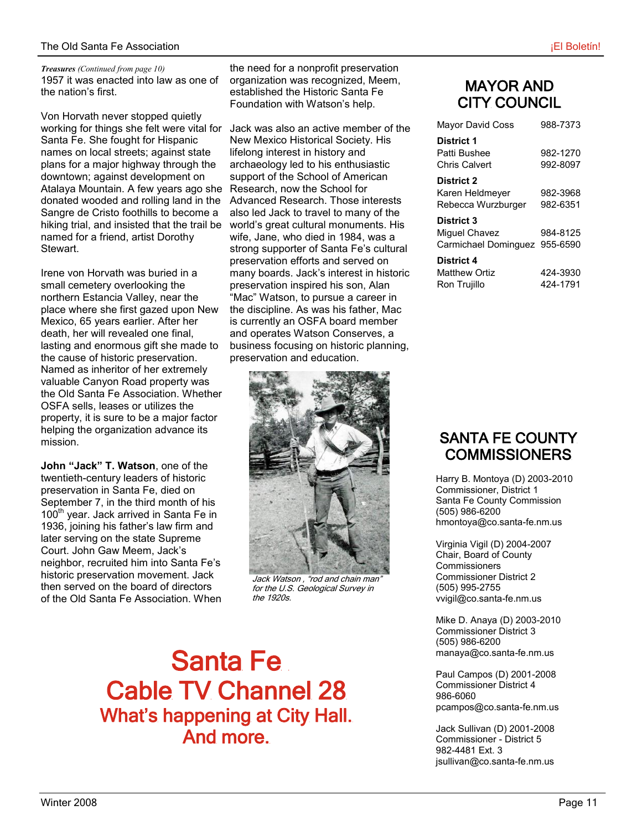1957 it was enacted into law as one of the nation's first. *Treasures (Continued from page 10)*

Von Horvath never stopped quietly working for things she felt were vital for Santa Fe. She fought for Hispanic names on local streets; against state plans for a major highway through the downtown; against development on Atalaya Mountain. A few years ago she donated wooded and rolling land in the Sangre de Cristo foothills to become a hiking trial, and insisted that the trail be named for a friend, artist Dorothy Stewart.

Irene von Horvath was buried in a small cemetery overlooking the northern Estancia Valley, near the place where she first gazed upon New Mexico, 65 years earlier. After her death, her will revealed one final, lasting and enormous gift she made to the cause of historic preservation. Named as inheritor of her extremely valuable Canyon Road property was the Old Santa Fe Association. Whether OSFA sells, leases or utilizes the property, it is sure to be a major factor helping the organization advance its mission.

**John "Jack" T. Watson**, one of the twentieth-century leaders of historic preservation in Santa Fe, died on September 7, in the third month of his 100<sup>th</sup> year. Jack arrived in Santa Fe in 1936, joining his father's law firm and later serving on the state Supreme Court. John Gaw Meem, Jack's neighbor, recruited him into Santa Fe's historic preservation movement. Jack then served on the board of directors of the Old Santa Fe Association. When

the need for a nonprofit preservation organization was recognized, Meem, established the Historic Santa Fe Foundation with Watson's help.

Jack was also an active member of the New Mexico Historical Society. His lifelong interest in history and archaeology led to his enthusiastic support of the School of American Research, now the School for Advanced Research. Those interests also led Jack to travel to many of the world's great cultural monuments. His wife, Jane, who died in 1984, was a strong supporter of Santa Fe's cultural preservation efforts and served on many boards. Jack's interest in historic preservation inspired his son, Alan "Mac" Watson, to pursue a career in the discipline. As was his father, Mac is currently an OSFA board member and operates Watson Conserves, a business focusing on historic planning, preservation and education.



Jack Watson , "rod and chain man" for the U.S. Geological Survey in the 1920s.

Santa Fe Cable TV Channel 28 What's happening at City Hall. And more.

### MAYOR AND CITY COUNCIL

| Mayor David Coss                                             | 988-7373             |
|--------------------------------------------------------------|----------------------|
| <b>District 1</b><br>Patti Bushee<br>Chris Calvert           | 982-1270<br>992-8097 |
| District 2<br>Karen Heldmeyer<br>Rebecca Wurzburger          | 982-3968<br>982-6351 |
| District 3<br>Miquel Chavez<br>Carmichael Dominguez 955-6590 | 984-8125             |
| District 4<br><b>Matthew Ortiz</b><br>Ron Trujillo           | 424-3930<br>424-1791 |

### SANTA FE COUNTY **COMMISSIONERS**

Harry B. Montoya (D) 2003-2010 Commissioner, District 1 Santa Fe County Commission (505) 986-6200 hmontoya@co.santa-fe.nm.us

Virginia Vigil (D) 2004-2007 Chair, Board of County **Commissioners** Commissioner District 2 (505) 995-2755 vvigil@co.santa-fe.nm.us

Mike D. Anaya (D) 2003-2010 Commissioner District 3 (505) 986-6200 manaya@co.santa-fe.nm.us

Paul Campos (D) 2001-2008 Commissioner District 4 986-6060 pcampos@co.santa-fe.nm.us

Jack Sullivan (D) 2001-2008 Commissioner - District 5 982-4481 Ext. 3 jsullivan@co.santa-fe.nm.us